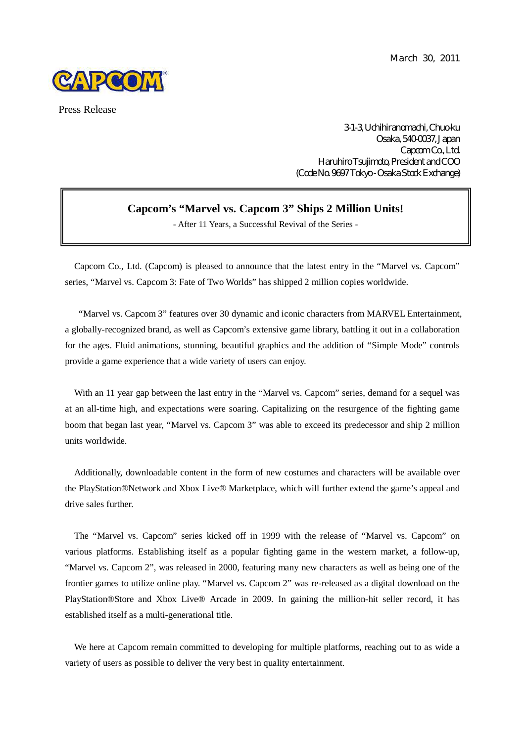March 30, 2011



Press Release

3-1-3,Uchihiranomachi,Chuo-ku Osaka,540-0037,Japan CapcomCo.,Ltd. Haruhiro Tsujimoto, President and COO (CodeNo.9697Tokyo-OsakaStockExchange)

## **Capcom's "Marvel vs. Capcom 3" Ships 2 Million Units!**

- After 11 Years, a Successful Revival of the Series -

Capcom Co., Ltd. (Capcom) is pleased to announce that the latest entry in the "Marvel vs. Capcom" series, "Marvel vs. Capcom 3: Fate of Two Worlds" has shipped 2 million copies worldwide.

"Marvel vs. Capcom 3" features over 30 dynamic and iconic characters from MARVEL Entertainment, a globally-recognized brand, as well as Capcom's extensive game library, battling it out in a collaboration for the ages. Fluid animations, stunning, beautiful graphics and the addition of "Simple Mode" controls provide a game experience that a wide variety of users can enjoy.

With an 11 year gap between the last entry in the "Marvel vs. Capcom" series, demand for a sequel was at an all-time high, and expectations were soaring. Capitalizing on the resurgence of the fighting game boom that began last year, "Marvel vs. Capcom 3" was able to exceed its predecessor and ship 2 million units worldwide.

Additionally, downloadable content in the form of new costumes and characters will be available over the PlayStation®Network and Xbox Live® Marketplace, which will further extend the game's appeal and drive sales further.

The "Marvel vs. Capcom" series kicked off in 1999 with the release of "Marvel vs. Capcom" on various platforms. Establishing itself as a popular fighting game in the western market, a follow-up, "Marvel vs. Capcom 2", was released in 2000, featuring many new characters as well as being one of the frontier games to utilize online play. "Marvel vs. Capcom 2" was re-released as a digital download on the PlayStation®Store and Xbox Live® Arcade in 2009. In gaining the million-hit seller record, it has established itself as a multi-generational title.

We here at Capcom remain committed to developing for multiple platforms, reaching out to as wide a variety of users as possible to deliver the very best in quality entertainment.